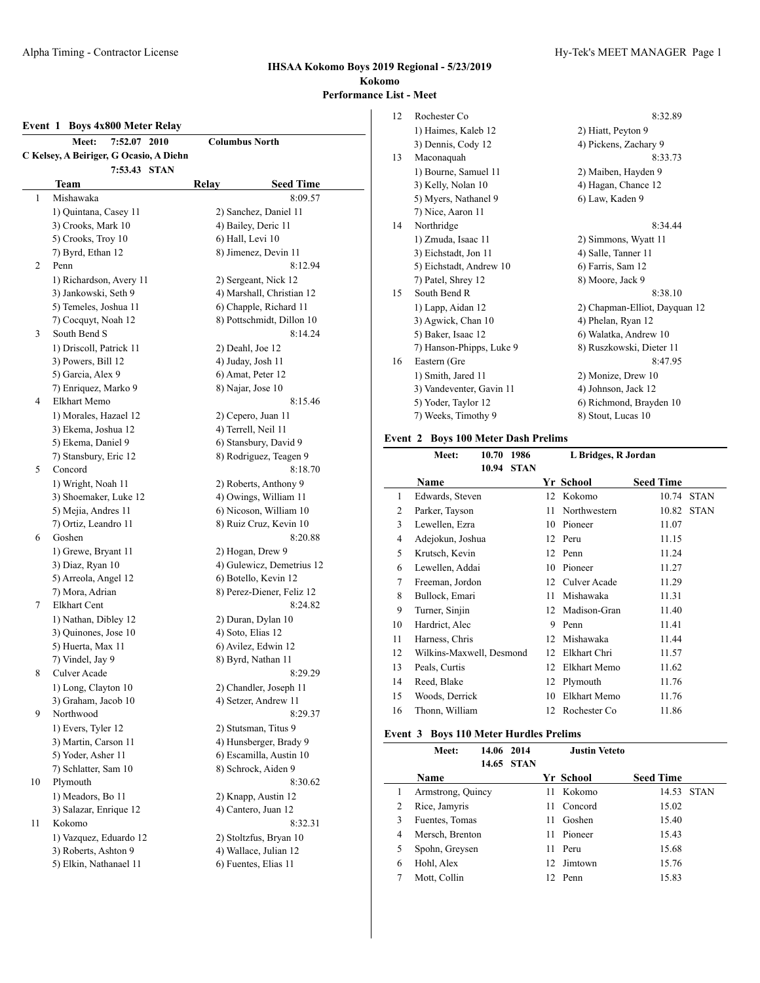#### **Event 1 Boys 4x800 Meter Relay**

|    | 7:52.07 2010<br>Meet:                   | <b>Columbus North</b>     |
|----|-----------------------------------------|---------------------------|
|    | C Kelsey, A Beiriger, G Ocasio, A Diehn |                           |
|    | 7:53.43 STAN                            |                           |
|    | Team                                    | <b>Seed Time</b><br>Relay |
| 1  | Mishawaka                               | 8:09.57                   |
|    | 1) Quintana, Casey 11                   | 2) Sanchez, Daniel 11     |
|    | 3) Crooks, Mark 10                      | 4) Bailey, Deric 11       |
|    | 5) Crooks, Troy 10                      | 6) Hall, Levi 10          |
|    | 7) Byrd, Ethan 12                       | 8) Jimenez, Devin 11      |
| 2  | Penn                                    | 8:12.94                   |
|    | 1) Richardson, Avery 11                 | 2) Sergeant, Nick 12      |
|    | 3) Jankowski, Seth 9                    | 4) Marshall, Christian 12 |
|    | 5) Temeles, Joshua 11                   | 6) Chapple, Richard 11    |
|    | 7) Cocquyt, Noah 12                     | 8) Pottschmidt, Dillon 10 |
| 3  | South Bend S                            | 8:14.24                   |
|    | 1) Driscoll, Patrick 11                 | 2) Deahl, Joe 12          |
|    | 3) Powers, Bill 12                      | 4) Juday, Josh 11         |
|    | 5) Garcia, Alex 9                       | 6) Amat, Peter 12         |
|    | 7) Enriquez, Marko 9                    | 8) Najar, Jose 10         |
| 4  | Elkhart Memo                            | 8:15.46                   |
|    | 1) Morales, Hazael 12                   | 2) Cepero, Juan 11        |
|    | 3) Ekema, Joshua 12                     | 4) Terrell, Neil 11       |
|    | 5) Ekema, Daniel 9                      | 6) Stansbury, David 9     |
|    | 7) Stansbury, Eric 12                   | 8) Rodriguez, Teagen 9    |
| 5  | Concord                                 | 8:18.70                   |
|    | 1) Wright, Noah 11                      | 2) Roberts, Anthony 9     |
|    | 3) Shoemaker, Luke 12                   | 4) Owings, William 11     |
|    | 5) Mejia, Andres 11                     | 6) Nicoson, William 10    |
|    | 7) Ortiz, Leandro 11                    | 8) Ruiz Cruz, Kevin 10    |
| 6  | Goshen                                  | 8:20.88                   |
|    | 1) Grewe, Bryant 11                     | 2) Hogan, Drew 9          |
|    | 3) Diaz, Ryan 10                        | 4) Gulewicz, Demetrius 12 |
|    | 5) Arreola, Angel 12                    | 6) Botello, Kevin 12      |
|    | 7) Mora, Adrian                         | 8) Perez-Diener, Feliz 12 |
| 7  | <b>Elkhart Cent</b>                     | 8:24.82                   |
|    | 1) Nathan, Dibley 12                    | 2) Duran, Dylan 10        |
|    | 3) Quinones, Jose 10                    | 4) Soto, Elias 12         |
|    | 5) Huerta, Max 11                       | 6) Avilez, Edwin 12       |
|    | 7) Vindel, Jay 9                        | 8) Byrd, Nathan 11        |
| 8  | Culver Acade                            | 8:29.29                   |
|    | 1) Long, Clayton 10                     | 2) Chandler, Joseph 11    |
|    | 3) Graham, Jacob 10                     | 4) Setzer, Andrew 11      |
| 9  | Northwood                               | 8:29.37                   |
|    | 1) Evers, Tyler 12                      | 2) Stutsman, Titus 9      |
|    | 3) Martin, Carson 11                    | 4) Hunsberger, Brady 9    |
|    | 5) Yoder, Asher 11                      | 6) Escamilla, Austin 10   |
|    | 7) Schlatter, Sam 10                    | 8) Schrock, Aiden 9       |
| 10 | Plymouth                                | 8:30.62                   |
|    | 1) Meadors, Bo 11                       | 2) Knapp, Austin 12       |
|    | 3) Salazar, Enrique 12                  | 4) Cantero, Juan 12       |
| 11 | Kokomo                                  | 8:32.31                   |
|    | 1) Vazquez, Eduardo 12                  | 2) Stoltzfus, Bryan 10    |
|    | 3) Roberts, Ashton 9                    | 4) Wallace, Julian 12     |
|    | 5) Elkin, Nathanael 11                  | 6) Fuentes, Elias 11      |

| 12 | Rochester Co             | 8:32.89                       |
|----|--------------------------|-------------------------------|
|    | 1) Haimes, Kaleb 12      | 2) Hiatt, Peyton 9            |
|    | 3) Dennis, Cody 12       | 4) Pickens, Zachary 9         |
| 13 | Maconaquah               | 8:33.73                       |
|    | 1) Bourne, Samuel 11     | 2) Maiben, Hayden 9           |
|    | 3) Kelly, Nolan 10       | 4) Hagan, Chance 12           |
|    | 5) Myers, Nathanel 9     | 6) Law, Kaden 9               |
|    | 7) Nice, Aaron 11        |                               |
| 14 | Northridge               | 8:34.44                       |
|    | 1) Zmuda, Isaac 11       | 2) Simmons, Wyatt 11          |
|    | 3) Eichstadt, Jon 11     | 4) Salle, Tanner 11           |
|    | 5) Eichstadt, Andrew 10  | 6) Farris, Sam 12             |
|    | 7) Patel, Shrey 12       | 8) Moore, Jack 9              |
| 15 | South Bend R             | 8:38.10                       |
|    | 1) Lapp, Aidan 12        | 2) Chapman-Elliot, Dayquan 12 |
|    | 3) Agwick, Chan 10       | 4) Phelan, Ryan 12            |
|    | 5) Baker, Isaac 12       | 6) Walatka, Andrew 10         |
|    | 7) Hanson-Phipps, Luke 9 | 8) Ruszkowski, Dieter 11      |
| 16 | Eastern (Gre             | 8:47.95                       |
|    | 1) Smith, Jared 11       | 2) Monize, Drew 10            |
|    | 3) Vandeventer, Gavin 11 | 4) Johnson, Jack 12           |
|    | 5) Yoder, Taylor 12      | 6) Richmond, Brayden 10       |
|    | 7) Weeks, Timothy 9      | 8) Stout, Lucas 10            |

# **Event 2 Boys 100 Meter Dash Prelims**

|    | Meet:                    | 10.70 | 1986        | L Bridges, R Jordan |              |                  |             |
|----|--------------------------|-------|-------------|---------------------|--------------|------------------|-------------|
|    |                          | 10.94 | <b>STAN</b> |                     |              |                  |             |
|    | Name                     |       |             |                     | Yr School    | <b>Seed Time</b> |             |
| 1  | Edwards, Steven          |       |             | 12                  | Kokomo       | 10.74            | <b>STAN</b> |
| 2  | Parker, Tayson           |       |             | 11                  | Northwestern | 10.82            | <b>STAN</b> |
| 3  | Lewellen, Ezra           |       |             | 10                  | Pioneer      | 11.07            |             |
| 4  | Adejokun, Joshua         |       |             | 12                  | Peru         | 11.15            |             |
| 5  | Krutsch, Kevin           |       |             | 12                  | Penn         | 11.24            |             |
| 6  | Lewellen, Addai          |       |             | 10                  | Pioneer      | 11.27            |             |
| 7  | Freeman, Jordon          |       |             | 12                  | Culver Acade | 11.29            |             |
| 8  | Bullock, Emari           |       |             | 11                  | Mishawaka    | 11.31            |             |
| 9  | Turner, Sinjin           |       |             | 12                  | Madison-Gran | 11.40            |             |
| 10 | Hardrict, Alec           |       |             | 9                   | Penn         | 11.41            |             |
| 11 | Harness, Chris           |       |             | 12                  | Mishawaka    | 11.44            |             |
| 12 | Wilkins-Maxwell, Desmond |       |             | 12                  | Elkhart Chri | 11.57            |             |
| 13 | Peals, Curtis            |       |             | 12                  | Elkhart Memo | 11.62            |             |
| 14 | Reed, Blake              |       |             | 12                  | Plymouth     | 11.76            |             |
| 15 | Woods, Derrick           |       |             | 10                  | Elkhart Memo | 11.76            |             |
| 16 | Thonn, William           |       |             | 12                  | Rochester Co | 11.86            |             |
|    |                          |       |             |                     |              |                  |             |

#### **Event 3 Boys 110 Meter Hurdles Prelims**

|   | Meet:             | 14.06 2014 | 14.65 STAN |    | Justin Veteto |                  |            |
|---|-------------------|------------|------------|----|---------------|------------------|------------|
|   | <b>Name</b>       |            |            |    | Yr School     | <b>Seed Time</b> |            |
| 1 | Armstrong, Quincy |            |            | 11 | Kokomo        |                  | 14.53 STAN |
| 2 | Rice, Jamyris     |            |            | 11 | Concord       | 15.02            |            |
| 3 | Fuentes, Tomas    |            |            | 11 | Goshen        | 15.40            |            |
| 4 | Mersch, Brenton   |            |            | 11 | Pioneer       | 15.43            |            |
| 5 | Spohn, Greysen    |            |            | 11 | Peru          | 15.68            |            |
| 6 | Hohl, Alex        |            |            | 12 | Jimtown       | 15.76            |            |
|   | Mott, Collin      |            |            |    | 12 Penn       | 15.83            |            |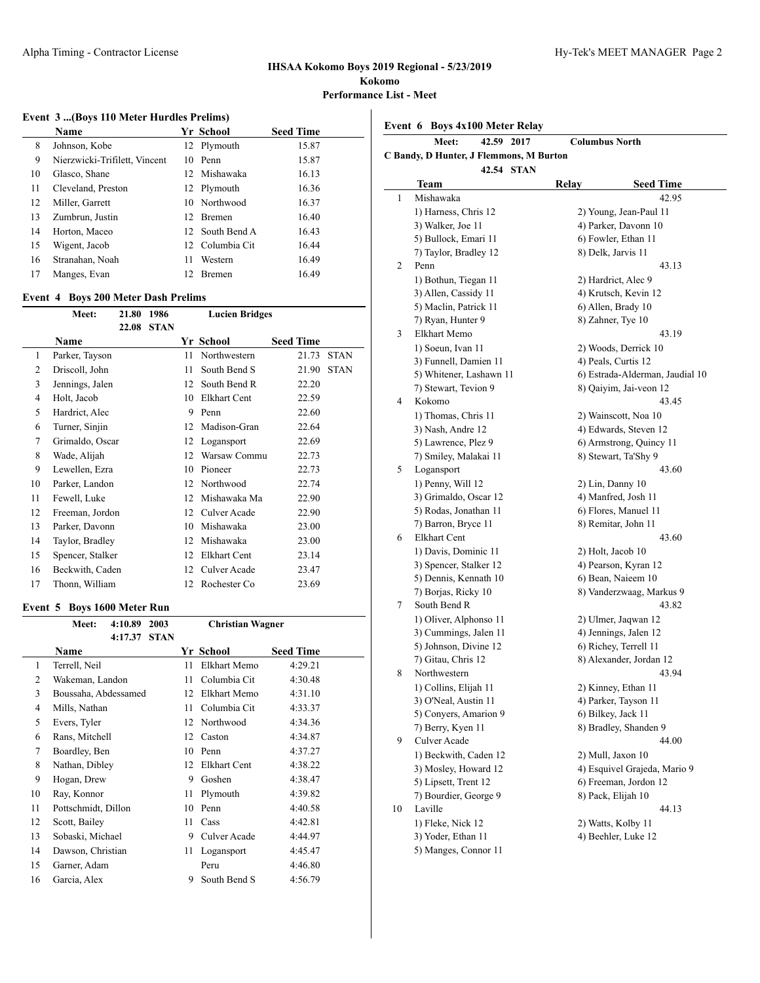$\overline{a}$ 

### **IHSAA Kokomo Boys 2019 Regional - 5/23/2019 Kokomo Performance List - Meet**

 $\overline{a}$ 

#### **Event 3 ...(Boys 110 Meter Hurdles Prelims)**

|    | <b>Name</b>                   |                 | Yr School       | <b>Seed Time</b> |
|----|-------------------------------|-----------------|-----------------|------------------|
| 8  | Johnson, Kobe                 |                 | 12 Plymouth     | 15.87            |
| 9  | Nierzwicki-Trifilett, Vincent |                 | 10 Penn         | 15.87            |
| 10 | Glasco, Shane                 |                 | 12. Mishawaka   | 16.13            |
| 11 | Cleveland, Preston            |                 | 12 Plymouth     | 16.36            |
| 12 | Miller, Garrett               |                 | 10 Northwood    | 16.37            |
| 13 | Zumbrun, Justin               | 12 <sup>1</sup> | <b>Bremen</b>   | 16.40            |
| 14 | Horton, Maceo                 |                 | 12 South Bend A | 16.43            |
| 15 | Wigent, Jacob                 |                 | 12 Columbia Cit | 16.44            |
| 16 | Stranahan, Noah               | 11              | Western         | 16.49            |
| 17 | Manges, Evan                  | 12              | <b>Bremen</b>   | 16.49            |

#### **Event 4 Boys 200 Meter Dash Prelims**

|    | Ется также до таки вази подниз |       |             |    |                       |                  |             |
|----|--------------------------------|-------|-------------|----|-----------------------|------------------|-------------|
|    | Meet:                          | 21.80 | 1986        |    | <b>Lucien Bridges</b> |                  |             |
|    |                                | 22.08 | <b>STAN</b> |    |                       |                  |             |
|    | Name                           |       |             |    | Yr School             | <b>Seed Time</b> |             |
| 1  | Parker, Tayson                 |       |             | 11 | Northwestern          | 21.73            | <b>STAN</b> |
| 2  | Driscoll, John                 |       |             | 11 | South Bend S          | 21.90            | <b>STAN</b> |
| 3  | Jennings, Jalen                |       |             | 12 | South Bend R          | 22.20            |             |
| 4  | Holt, Jacob                    |       |             | 10 | Elkhart Cent          | 22.59            |             |
| 5  | Hardrict, Alec                 |       |             | 9  | Penn                  | 22.60            |             |
| 6  | Turner, Sinjin                 |       |             | 12 | Madison-Gran          | 22.64            |             |
| 7  | Grimaldo, Oscar                |       |             | 12 | Logansport            | 22.69            |             |
| 8  | Wade, Alijah                   |       |             | 12 | Warsaw Commu          | 22.73            |             |
| 9  | Lewellen, Ezra                 |       |             | 10 | Pioneer               | 22.73            |             |
| 10 | Parker, Landon                 |       |             | 12 | Northwood             | 22.74            |             |
| 11 | Fewell, Luke                   |       |             | 12 | Mishawaka Ma          | 22.90            |             |
| 12 | Freeman, Jordon                |       |             | 12 | Culver Acade          | 22.90            |             |
| 13 | Parker, Davonn                 |       |             | 10 | Mishawaka             | 23.00            |             |
| 14 | Taylor, Bradley                |       |             | 12 | Mishawaka             | 23.00            |             |
| 15 | Spencer, Stalker               |       |             | 12 | Elkhart Cent          | 23.14            |             |
| 16 | Beckwith, Caden                |       |             | 12 | Culver Acade          | 23.47            |             |
| 17 | Thonn, William                 |       |             | 12 | Rochester Co          | 23.69            |             |

# **Event 5 Boys 1600 Meter Run**

|    | Meet:                | 4:10.89 | 2003        |    | <b>Christian Wagner</b> |                  |  |  |
|----|----------------------|---------|-------------|----|-------------------------|------------------|--|--|
|    |                      | 4:17.37 | <b>STAN</b> |    |                         |                  |  |  |
|    | Name                 |         |             |    | Yr School               | <b>Seed Time</b> |  |  |
| 1  | Terrell, Neil        |         |             | 11 | Elkhart Memo            | 4:29.21          |  |  |
| 2  | Wakeman, Landon      |         |             | 11 | Columbia Cit            | 4:30.48          |  |  |
| 3  | Boussaha, Abdessamed |         |             | 12 | Elkhart Memo            | 4:31.10          |  |  |
| 4  | Mills, Nathan        |         |             | 11 | Columbia Cit            | 4:33.37          |  |  |
| 5  | Evers, Tyler         |         |             | 12 | Northwood               | 4:34.36          |  |  |
| 6  | Rans, Mitchell       |         |             | 12 | Caston                  | 4:34.87          |  |  |
| 7  | Boardley, Ben        |         |             | 10 | Penn                    | 4:37.27          |  |  |
| 8  | Nathan, Dibley       |         |             | 12 | Elkhart Cent            | 4:38.22          |  |  |
| 9  | Hogan, Drew          |         |             | 9  | Goshen                  | 4:38.47          |  |  |
| 10 | Ray, Konnor          |         |             | 11 | Plymouth                | 4:39.82          |  |  |
| 11 | Pottschmidt, Dillon  |         |             | 10 | Penn                    | 4:40.58          |  |  |
| 12 | Scott, Bailey        |         |             | 11 | Cass                    | 4:42.81          |  |  |
| 13 | Sobaski, Michael     |         |             | 9  | Culver Acade            | 4:44.97          |  |  |
| 14 | Dawson, Christian    |         |             | 11 | Logansport              | 4:45.47          |  |  |
| 15 | Garner, Adam         |         |             |    | Peru                    | 4:46.80          |  |  |
| 16 | Garcia, Alex         |         |             | 9  | South Bend S            | 4:56.79          |  |  |

**Event 6 Boys 4x100 Meter Relay**

|    | 42.59 2017<br>Meet:                          | <b>Columbus North</b>                           |
|----|----------------------------------------------|-------------------------------------------------|
|    | C Bandy, D Hunter, J Flemmons, M Burton      |                                                 |
|    | 42.54 STAN                                   |                                                 |
|    | Team                                         | Relay<br><b>Seed Time</b>                       |
| 1  | Mishawaka                                    | 42.95                                           |
|    | 1) Harness, Chris 12                         | 2) Young, Jean-Paul 11                          |
|    | 3) Walker, Joe 11                            | 4) Parker, Davonn 10                            |
|    | 5) Bullock, Emari 11                         | 6) Fowler, Ethan 11                             |
|    | 7) Taylor, Bradley 12                        | 8) Delk, Jarvis 11                              |
| 2  | Penn                                         | 43.13                                           |
|    | 1) Bothun, Tiegan 11                         | 2) Hardrict, Alec 9                             |
|    | 3) Allen, Cassidy 11                         | 4) Krutsch, Kevin 12                            |
|    | 5) Maclin, Patrick 11                        | 6) Allen, Brady 10                              |
|    | 7) Ryan, Hunter 9                            | 8) Zahner, Tye 10                               |
| 3  | Elkhart Memo                                 | 43.19                                           |
|    | 1) Soeun, Ivan 11                            | 2) Woods, Derrick 10                            |
|    | 3) Funnell, Damien 11                        | 4) Peals, Curtis 12                             |
|    | 5) Whitener, Lashawn 11                      | 6) Estrada-Alderman, Jaudial 10                 |
|    | 7) Stewart, Tevion 9                         | 8) Qaiyim, Jai-veon 12                          |
| 4  | Kokomo                                       | 43.45                                           |
|    | 1) Thomas, Chris 11                          | 2) Wainscott, Noa 10                            |
|    | 3) Nash, Andre 12                            | 4) Edwards, Steven 12                           |
|    | 5) Lawrence, Plez 9<br>7) Smiley, Malakai 11 | 6) Armstrong, Quincy 11<br>8) Stewart, Ta'Shy 9 |
|    | Logansport                                   |                                                 |
| 5  | 1) Penny, Will 12                            | 43.60                                           |
|    | 3) Grimaldo, Oscar 12                        | 2) Lin, Danny 10<br>4) Manfred, Josh 11         |
|    | 5) Rodas, Jonathan 11                        | 6) Flores, Manuel 11                            |
|    | 7) Barron, Bryce 11                          | 8) Remitar, John 11                             |
| 6  | Elkhart Cent                                 | 43.60                                           |
|    | 1) Davis, Dominic 11                         | 2) Holt, Jacob 10                               |
|    | 3) Spencer, Stalker 12                       | 4) Pearson, Kyran 12                            |
|    | 5) Dennis, Kennath 10                        | 6) Bean, Naieem 10                              |
|    | 7) Borjas, Ricky 10                          | 8) Vanderzwaag, Markus 9                        |
| 7  | South Bend R                                 | 43.82                                           |
|    | 1) Oliver, Alphonso 11                       | 2) Ulmer, Jaqwan 12                             |
|    | 3) Cummings, Jalen 11                        | 4) Jennings, Jalen 12                           |
|    | 5) Johnson, Divine 12                        | 6) Richey, Terrell 11                           |
|    | 7) Gitau, Chris 12                           | 8) Alexander, Jordan 12                         |
| 8  | Northwestern                                 | 43.94                                           |
|    | 1) Collins, Elijah 11                        | 2) Kinney, Ethan 11                             |
|    | 3) O'Neal, Austin 11                         | 4) Parker, Tayson 11                            |
|    | 5) Conyers, Amarion 9                        | 6) Bilkey, Jack 11                              |
|    | 7) Berry, Kyen 11                            | 8) Bradley, Shanden 9                           |
| 9  | Culver Acade                                 | 44.00                                           |
|    | 1) Beckwith, Caden 12                        | 2) Mull, Jaxon 10                               |
|    | 3) Mosley, Howard 12                         | 4) Esquivel Grajeda, Mario 9                    |
|    | 5) Lipsett, Trent 12                         | 6) Freeman, Jordon 12                           |
|    | 7) Bourdier, George 9                        | 8) Pack, Elijah 10                              |
| 10 | Laville                                      | 44.13                                           |
|    | 1) Fleke, Nick 12                            | 2) Watts, Kolby 11                              |
|    | 3) Yoder, Ethan 11                           | 4) Beehler, Luke 12                             |
|    | 5) Manges, Connor 11                         |                                                 |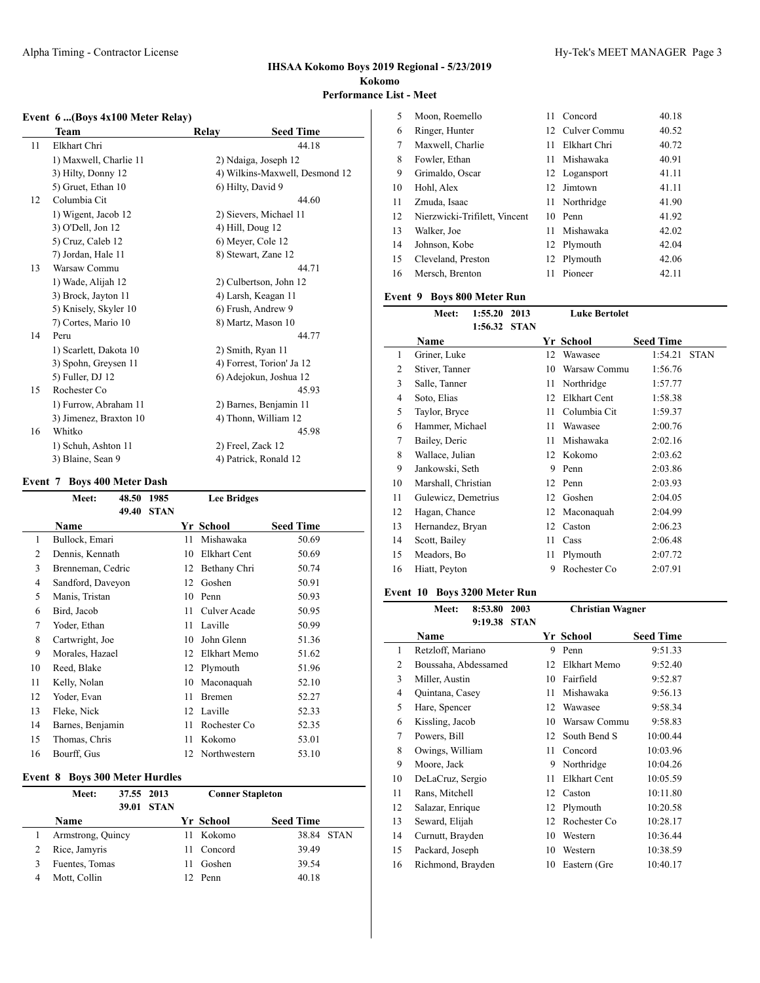### **Event 6 ...(Boys 4x100 Meter Relay)**

| Team                   | Relay | <b>Seed Time</b>               |
|------------------------|-------|--------------------------------|
| Elkhart Chri           |       | 44.18                          |
| 1) Maxwell, Charlie 11 |       | 2) Ndaiga, Joseph 12           |
| 3) Hilty, Donny 12     |       | 4) Wilkins-Maxwell, Desmond 12 |
| 5) Gruet, Ethan 10     |       | 6) Hilty, David 9              |
| Columbia Cit           |       | 44.60                          |
| 1) Wigent, Jacob 12    |       | 2) Sievers, Michael 11         |
| 3) O'Dell, Jon 12      |       | 4) Hill, Doug 12               |
| 5) Cruz, Caleb 12      |       | 6) Meyer, Cole 12              |
| 7) Jordan, Hale 11     |       | 8) Stewart, Zane 12            |
| Warsaw Commu           |       | 44.71                          |
| 1) Wade, Alijah 12     |       | 2) Culbertson, John 12         |
| 3) Brock, Jayton 11    |       | 4) Larsh, Keagan 11            |
| 5) Knisely, Skyler 10  |       | 6) Frush, Andrew 9             |
| 7) Cortes, Mario 10    |       | 8) Martz, Mason 10             |
| Peru                   |       | 44.77                          |
| 1) Scarlett, Dakota 10 |       | 2) Smith, Ryan 11              |
| 3) Spohn, Greysen 11   |       | 4) Forrest, Torion' Ja 12      |
| 5) Fuller, DJ 12       |       | 6) Adejokun, Joshua 12         |
| Rochester Co           |       | 45.93                          |
| 1) Furrow, Abraham 11  |       | 2) Barnes, Benjamin 11         |
| 3) Jimenez, Braxton 10 |       | 4) Thonn, William 12           |
| Whitko                 |       | 45.98                          |
| 1) Schuh, Ashton 11    |       | 2) Freel, Zack 12              |
| 3) Blaine, Sean 9      |       | 4) Patrick, Ronald 12          |
|                        |       |                                |

#### **Event 7 Boys 400 Meter Dash**

|    | Meet:             | 48.50 | 1985        |    | <b>Lee Bridges</b> |                  |
|----|-------------------|-------|-------------|----|--------------------|------------------|
|    |                   | 49.40 | <b>STAN</b> |    |                    |                  |
|    | Name              |       |             |    | Yr School          | <b>Seed Time</b> |
| 1  | Bullock, Emari    |       |             | 11 | Mishawaka          | 50.69            |
| 2  | Dennis, Kennath   |       |             | 10 | Elkhart Cent       | 50.69            |
| 3  | Brenneman, Cedric |       |             | 12 | Bethany Chri       | 50.74            |
| 4  | Sandford, Daveyon |       |             | 12 | Goshen             | 50.91            |
| 5  | Manis, Tristan    |       |             | 10 | Penn               | 50.93            |
| 6  | Bird, Jacob       |       |             | 11 | Culver Acade       | 50.95            |
| 7  | Yoder, Ethan      |       |             | 11 | Laville            | 50.99            |
| 8  | Cartwright, Joe   |       |             | 10 | John Glenn         | 51.36            |
| 9  | Morales, Hazael   |       |             | 12 | Elkhart Memo       | 51.62            |
| 10 | Reed, Blake       |       |             | 12 | Plymouth           | 51.96            |
| 11 | Kelly, Nolan      |       |             | 10 | Maconaquah         | 52.10            |
| 12 | Yoder, Evan       |       |             | 11 | <b>Bremen</b>      | 52.27            |
| 13 | Fleke, Nick       |       |             | 12 | Laville            | 52.33            |
| 14 | Barnes, Benjamin  |       |             | 11 | Rochester Co       | 52.35            |
| 15 | Thomas, Chris     |       |             | 11 | Kokomo             | 53.01            |
| 16 | Bourff, Gus       |       |             | 12 | Northwestern       | 53.10            |
|    |                   |       |             |    |                    |                  |

# **Event 8 Boys 300 Meter Hurdles**

| Meet:             | 37.55 2013 | 39.01 STAN | <b>Conner Stapleton</b> |            |                  |            |
|-------------------|------------|------------|-------------------------|------------|------------------|------------|
| Name              |            |            |                         | Yr School  | <b>Seed Time</b> |            |
| Armstrong, Quincy |            |            |                         | Kokomo     |                  | 38.84 STAN |
| Rice, Jamyris     |            |            |                         | 11 Concord | 39.49            |            |
| Fuentes, Tomas    |            |            |                         | Goshen     | 39.54            |            |
| Mott, Collin      |            |            |                         | 12 Penn    | 40.18            |            |

| 5  | Moon, Roemello                | 11 | Concord          | 40.18 |
|----|-------------------------------|----|------------------|-------|
| 6  | Ringer, Hunter                |    | 12. Culver Commu | 40.52 |
| 7  | Maxwell, Charlie              | 11 | Elkhart Chri     | 40.72 |
| 8  | Fowler, Ethan                 | 11 | Mishawaka        | 40.91 |
| 9  | Grimaldo, Oscar               |    | 12 Logansport    | 41.11 |
| 10 | Hohl, Alex                    |    | 12 Jimtown       | 41.11 |
| 11 | Zmuda, Isaac                  |    | 11 Northridge    | 41.90 |
| 12 | Nierzwicki-Trifilett, Vincent | 10 | Penn             | 41.92 |
| 13 | Walker, Joe                   | 11 | Mishawaka        | 42.02 |
| 14 | Johnson, Kobe                 |    | 12 Plymouth      | 42.04 |
| 15 | Cleveland, Preston            |    | 12 Plymouth      | 42.06 |
| 16 | Mersch, Brenton               |    | Pioneer          | 42.11 |

#### **Event 9 Boys 800 Meter Run**

|    | Meet:               | 1:55.20 | 2013        |    | <b>Luke Bertolet</b> |                  |             |
|----|---------------------|---------|-------------|----|----------------------|------------------|-------------|
|    |                     | 1:56.32 | <b>STAN</b> |    |                      |                  |             |
|    | Name                |         |             |    | Yr School            | <b>Seed Time</b> |             |
| 1  | Griner, Luke        |         |             | 12 | Wawasee              | 1:54.21          | <b>STAN</b> |
| 2  | Stiver, Tanner      |         |             | 10 | Warsaw Commu         | 1:56.76          |             |
| 3  | Salle, Tanner       |         |             | 11 | Northridge           | 1:57.77          |             |
| 4  | Soto, Elias         |         |             | 12 | Elkhart Cent         | 1:58.38          |             |
| 5  | Taylor, Bryce       |         |             | 11 | Columbia Cit         | 1:59.37          |             |
| 6  | Hammer, Michael     |         |             | 11 | Wawasee              | 2:00.76          |             |
| 7  | Bailey, Deric       |         |             | 11 | Mishawaka            | 2:02.16          |             |
| 8  | Wallace, Julian     |         |             | 12 | Kokomo               | 2:03.62          |             |
| 9  | Jankowski, Seth     |         |             | 9  | Penn                 | 2:03.86          |             |
| 10 | Marshall, Christian |         |             | 12 | Penn                 | 2:03.93          |             |
| 11 | Gulewicz, Demetrius |         |             | 12 | Goshen               | 2:04.05          |             |
| 12 | Hagan, Chance       |         |             | 12 | Maconaquah           | 2:04.99          |             |
| 13 | Hernandez, Bryan    |         |             | 12 | Caston               | 2:06.23          |             |
| 14 | Scott, Bailey       |         |             | 11 | Cass                 | 2:06.48          |             |
| 15 | Meadors, Bo         |         |             | 11 | Plymouth             | 2:07.72          |             |
| 16 | Hiatt, Peyton       |         |             | 9  | Rochester Co         | 2:07.91          |             |
|    |                     |         |             |    |                      |                  |             |

# **Event 10 Boys 3200 Meter Run**

|    | 8:53.80<br>2003<br><b>Meet:</b> |         |             | <b>Christian Wagner</b> |              |                  |  |
|----|---------------------------------|---------|-------------|-------------------------|--------------|------------------|--|
|    |                                 | 9:19.38 | <b>STAN</b> |                         |              |                  |  |
|    | Name                            |         |             |                         | Yr School    | <b>Seed Time</b> |  |
| 1  | Retzloff, Mariano               |         |             | 9                       | Penn         | 9:51.33          |  |
| 2  | Boussaha, Abdessamed            |         |             | 12                      | Elkhart Memo | 9:52.40          |  |
| 3  | Miller, Austin                  |         |             | 10                      | Fairfield    | 9:52.87          |  |
| 4  | Quintana, Casey                 |         |             | 11                      | Mishawaka    | 9:56.13          |  |
| 5  | Hare, Spencer                   |         |             | 12                      | Wawasee      | 9:58.34          |  |
| 6  | Kissling, Jacob                 |         |             | 10                      | Warsaw Commu | 9:58.83          |  |
| 7  | Powers, Bill                    |         |             | 12                      | South Bend S | 10:00.44         |  |
| 8  | Owings, William                 |         |             | 11                      | Concord      | 10:03.96         |  |
| 9  | Moore, Jack                     |         |             | 9                       | Northridge   | 10:04.26         |  |
| 10 | DeLaCruz, Sergio                |         |             | 11                      | Elkhart Cent | 10:05.59         |  |
| 11 | Rans, Mitchell                  |         |             | 12                      | Caston       | 10:11.80         |  |
| 12 | Salazar, Enrique                |         |             | 12                      | Plymouth     | 10:20.58         |  |
| 13 | Seward, Elijah                  |         | 12          | Rochester Co            | 10:28.17     |                  |  |
| 14 | Curnutt, Brayden                |         | 10          | Western                 | 10:36.44     |                  |  |
| 15 | Packard, Joseph                 |         |             | 10                      | Western      | 10:38.59         |  |
| 16 | Richmond, Brayden               |         |             | 10                      | Eastern (Gre | 10:40.17         |  |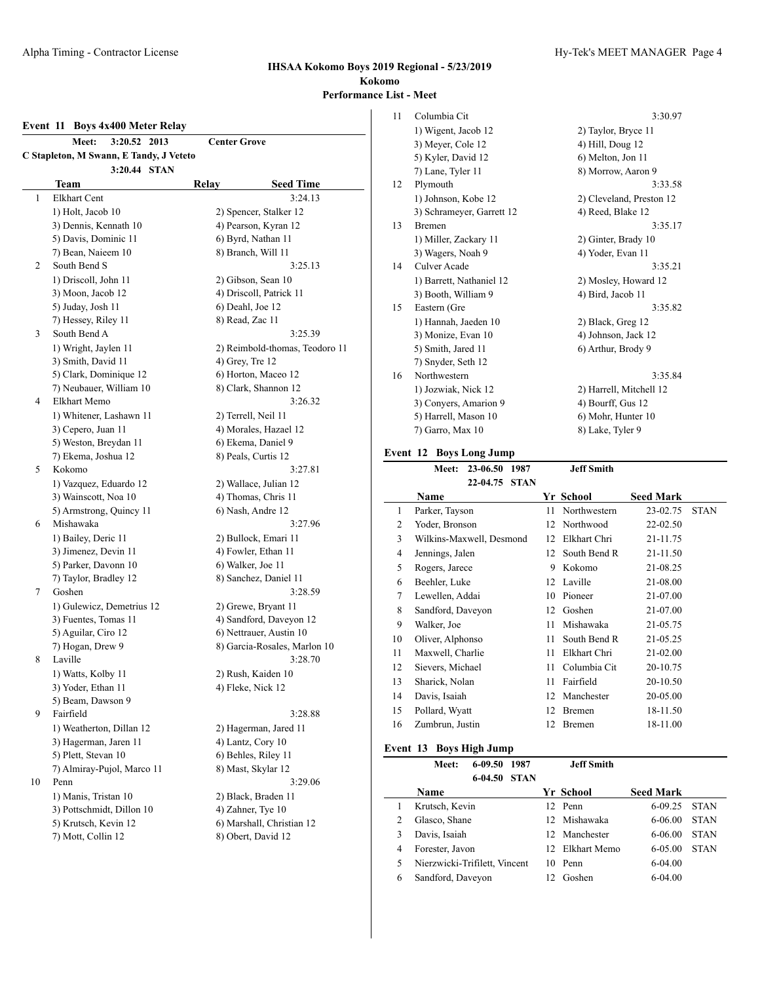#### **Event 11 Boys 4x400 Meter Relay**

|    | 3:20.52<br>2013<br><b>Meet:</b>         | <b>Center Grove</b>            |  |  |  |
|----|-----------------------------------------|--------------------------------|--|--|--|
|    | C Stapleton, M Swann, E Tandy, J Veteto |                                |  |  |  |
|    | 3:20.44 STAN                            |                                |  |  |  |
|    | Team                                    | <b>Seed Time</b><br>Relay      |  |  |  |
| 1  | Elkhart Cent                            | 3:24.13                        |  |  |  |
|    | 1) Holt, Jacob 10                       | 2) Spencer, Stalker 12         |  |  |  |
|    | 3) Dennis, Kennath 10                   | 4) Pearson, Kyran 12           |  |  |  |
|    | 5) Davis, Dominic 11                    | 6) Byrd, Nathan 11             |  |  |  |
|    | 7) Bean, Naieem 10                      | 8) Branch, Will 11             |  |  |  |
| 2  | South Bend S                            | 3:25.13                        |  |  |  |
|    | 1) Driscoll, John 11                    | 2) Gibson, Sean 10             |  |  |  |
|    | 3) Moon, Jacob 12                       | 4) Driscoll, Patrick 11        |  |  |  |
|    | 5) Juday, Josh 11                       | 6) Deahl, Joe 12               |  |  |  |
|    | 7) Hessey, Riley 11                     | 8) Read, Zac 11                |  |  |  |
| 3  | South Bend A                            | 3:25.39                        |  |  |  |
|    | 1) Wright, Jaylen 11                    | 2) Reimbold-thomas, Teodoro 11 |  |  |  |
|    | 3) Smith, David 11                      | 4) Grey, Tre 12                |  |  |  |
|    | 5) Clark, Dominique 12                  | 6) Horton, Maceo 12            |  |  |  |
|    | 7) Neubauer, William 10                 | 8) Clark, Shannon 12           |  |  |  |
| 4  | Elkhart Memo                            | 3:26.32                        |  |  |  |
|    | 1) Whitener, Lashawn 11                 | 2) Terrell, Neil 11            |  |  |  |
|    | 3) Cepero, Juan 11                      | 4) Morales, Hazael 12          |  |  |  |
|    | 5) Weston, Breydan 11                   | 6) Ekema, Daniel 9             |  |  |  |
|    | 7) Ekema, Joshua 12                     | 8) Peals, Curtis 12            |  |  |  |
| 5  | Kokomo                                  | 3:27.81                        |  |  |  |
|    | 1) Vazquez, Eduardo 12                  | 2) Wallace, Julian 12          |  |  |  |
|    | 3) Wainscott, Noa 10                    | 4) Thomas, Chris 11            |  |  |  |
|    | 5) Armstrong, Quincy 11                 | 6) Nash, Andre 12              |  |  |  |
| 6  | Mishawaka                               | 3:27.96                        |  |  |  |
|    | 1) Bailey, Deric 11                     | 2) Bullock, Emari 11           |  |  |  |
|    | 3) Jimenez, Devin 11                    | 4) Fowler, Ethan 11            |  |  |  |
|    | 5) Parker, Davonn 10                    | 6) Walker, Joe 11              |  |  |  |
|    | 7) Taylor, Bradley 12                   | 8) Sanchez, Daniel 11          |  |  |  |
| 7  | Goshen                                  | 3:28.59                        |  |  |  |
|    | 1) Gulewicz, Demetrius 12               | 2) Grewe, Bryant 11            |  |  |  |
|    | 3) Fuentes, Tomas 11                    | 4) Sandford, Daveyon 12        |  |  |  |
|    | 5) Aguilar, Ciro 12                     | 6) Nettrauer, Austin 10        |  |  |  |
|    | 7) Hogan, Drew 9<br>Laville             | 8) Garcia-Rosales, Marlon 10   |  |  |  |
| 8  |                                         | 3:28.70                        |  |  |  |
|    | 1) Watts, Kolby 11                      | 2) Rush, Kaiden 10             |  |  |  |
|    | 3) Yoder, Ethan 11<br>5) Beam, Dawson 9 | 4) Fleke, Nick 12              |  |  |  |
| 9  | Fairfield                               | 3:28.88                        |  |  |  |
|    | 1) Weatherton, Dillan 12                | 2) Hagerman, Jared 11          |  |  |  |
|    | 3) Hagerman, Jaren 11                   | 4) Lantz, Cory 10              |  |  |  |
|    | 5) Plett, Stevan 10                     | 6) Behles, Riley 11            |  |  |  |
|    | 7) Almiray-Pujol, Marco 11              | 8) Mast, Skylar 12             |  |  |  |
| 10 | Penn                                    | 3:29.06                        |  |  |  |
|    | 1) Manis, Tristan 10                    | 2) Black, Braden 11            |  |  |  |
|    | 3) Pottschmidt, Dillon 10               | 4) Zahner, Tye 10              |  |  |  |
|    | 5) Krutsch, Kevin 12                    | 6) Marshall, Christian 12      |  |  |  |
|    | 7) Mott, Collin 12                      | 8) Obert, David 12             |  |  |  |
|    |                                         |                                |  |  |  |

| 11 | Columbia Cit              | 3:30.97                  |
|----|---------------------------|--------------------------|
|    | 1) Wigent, Jacob 12       | 2) Taylor, Bryce 11      |
|    | 3) Meyer, Cole 12         | 4) Hill, Doug 12         |
|    | 5) Kyler, David 12        | 6) Melton, Jon 11        |
|    | 7) Lane, Tyler 11         | 8) Morrow, Aaron 9       |
| 12 | Plymouth                  | 3:33.58                  |
|    | 1) Johnson, Kobe 12       | 2) Cleveland, Preston 12 |
|    | 3) Schrameyer, Garrett 12 | 4) Reed, Blake 12        |
| 13 | <b>Bremen</b>             | 3:35.17                  |
|    | 1) Miller, Zackary 11     | 2) Ginter, Brady 10      |
|    | 3) Wagers, Noah 9         | 4) Yoder, Evan 11        |
| 14 | Culver Acade              | 3:35.21                  |
|    | 1) Barrett, Nathaniel 12  | 2) Mosley, Howard 12     |
|    | 3) Booth, William 9       | 4) Bird, Jacob 11        |
| 15 | Eastern (Gre              | 3:35.82                  |
|    | 1) Hannah, Jaeden 10      | 2) Black, Greg 12        |
|    | 3) Monize, Evan 10        | 4) Johnson, Jack 12      |
|    | 5) Smith, Jared 11        | 6) Arthur, Brody 9       |
|    | 7) Snyder, Seth 12        |                          |
| 16 | Northwestern              | 3:35.84                  |
|    | 1) Jozwiak, Nick 12       | 2) Harrell, Mitchell 12  |
|    | 3) Conyers, Amarion 9     | 4) Bourff, Gus 12        |
|    | 5) Harrell, Mason 10      | 6) Mohr, Hunter 10       |
|    | 7) Garro, Max 10          | 8) Lake, Tyler 9         |
|    |                           |                          |

# **Event 12 Boys Long Jump**

|                | 23-06.50<br>1987<br>Meet: |    | <b>Jeff Smith</b> |                  |             |
|----------------|---------------------------|----|-------------------|------------------|-------------|
|                | 22-04.75<br><b>STAN</b>   |    |                   |                  |             |
|                | Name                      |    | Yr School         | <b>Seed Mark</b> |             |
| 1              | Parker, Tayson            | 11 | Northwestern      | 23-02.75         | <b>STAN</b> |
| $\overline{2}$ | Yoder, Bronson            | 12 | Northwood         | 22-02.50         |             |
| 3              | Wilkins-Maxwell, Desmond  | 12 | Elkhart Chri      | 21-11.75         |             |
| $\overline{4}$ | Jennings, Jalen           | 12 | South Bend R      | 21-11.50         |             |
| 5              | Rogers, Jarece            | 9  | Kokomo            | 21-08.25         |             |
| 6              | Beehler, Luke             | 12 | Laville           | 21-08.00         |             |
| 7              | Lewellen, Addai           | 10 | Pioneer           | 21-07.00         |             |
| 8              | Sandford, Daveyon         | 12 | Goshen            | 21-07.00         |             |
| 9              | Walker, Joe               | 11 | Mishawaka         | 21-05.75         |             |
| 10             | Oliver, Alphonso          | 11 | South Bend R      | 21-05.25         |             |
| 11             | Maxwell, Charlie          | 11 | Elkhart Chri      | 21-02.00         |             |
| 12             | Sievers, Michael          | 11 | Columbia Cit      | 20-10.75         |             |
| 13             | Sharick, Nolan            | 11 | Fairfield         | 20-10.50         |             |
| 14             | Davis, Isaiah             | 12 | Manchester        | 20-05.00         |             |
| 15             | Pollard, Wyatt            | 12 | <b>Bremen</b>     | 18-11.50         |             |
| 16             | Zumbrun, Justin           | 12 | Bremen            | 18-11.00         |             |

# **Event 13 Boys High Jump**

|   | Meet:                         | $6 - 09.50$ | 1987        |     | <b>Jeff Smith</b> |                  |             |
|---|-------------------------------|-------------|-------------|-----|-------------------|------------------|-------------|
|   |                               | 6-04.50     | <b>STAN</b> |     |                   |                  |             |
|   | Name                          |             |             |     | Yr School         | <b>Seed Mark</b> |             |
|   | Krutsch, Kevin                |             |             |     | 12 Penn           | $6-09.25$        | <b>STAN</b> |
| 2 | Glasco, Shane                 |             |             | 12. | Mishawaka         | 6-06.00          | <b>STAN</b> |
|   | Davis, Isaiah                 |             |             | 12. | Manchester        | 6-06.00          | <b>STAN</b> |
| 4 | Forester, Javon               |             |             | 12. | Elkhart Memo      | $6-0.500$        | <b>STAN</b> |
| 5 | Nierzwicki-Trifilett, Vincent |             |             | 10  | Penn              | $6-04.00$        |             |
| 6 | Sandford, Daveyon             |             |             |     | Goshen            | $6-04.00$        |             |